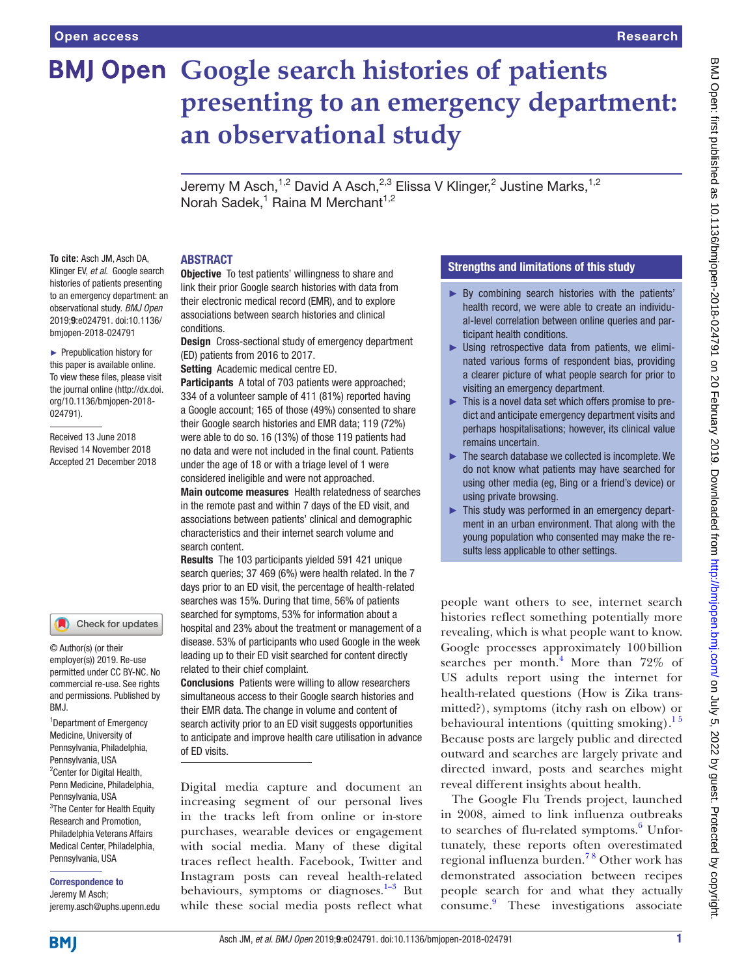# **BMJ Open** Google search histories of patients **presenting to an emergency department: an observational study**

Jeremy M Asch, $^{1,2}$  David A Asch, $^{2,3}$  Elissa V Klinger, $^2$  Justine Marks, $^{1,2}$ Norah Sadek,<sup>1</sup> Raina M Merchant<sup>1,2</sup>

#### **ABSTRACT**

**To cite:** Asch JM, Asch DA, Klinger EV, *et al*. Google search histories of patients presenting to an emergency department: an observational study. *BMJ Open* 2019;9:e024791. doi:10.1136/ bmjopen-2018-024791

► Prepublication history for this paper is available online. To view these files, please visit the journal online [\(http://dx.doi.](http://dx.doi.org/10.1136/bmjopen-2018-024791) [org/10.1136/bmjopen-2018-](http://dx.doi.org/10.1136/bmjopen-2018-024791) [024791\)](http://dx.doi.org/10.1136/bmjopen-2018-024791).

Received 13 June 2018 Revised 14 November 2018 Accepted 21 December 2018

#### Check for updates

© Author(s) (or their employer(s)) 2019. Re-use permitted under CC BY-NC. No commercial re-use. See rights and permissions. Published by BMJ.

<sup>1</sup> Department of Emergency Medicine, University of Pennsylvania, Philadelphia, Pennsylvania, USA <sup>2</sup> Center for Digital Health, Penn Medicine, Philadelphia, Pennsylvania, USA <sup>3</sup>The Center for Health Equity Research and Promotion, Philadelphia Veterans Affairs Medical Center, Philadelphia, Pennsylvania, USA

Correspondence to Jeremy M Asch; jeremy.asch@uphs.upenn.edu **Objective** To test patients' willingness to share and link their prior Google search histories with data from their electronic medical record (EMR), and to explore associations between search histories and clinical conditions.

Design Cross-sectional study of emergency department (ED) patients from 2016 to 2017.

Setting Academic medical centre ED.

Participants A total of 703 patients were approached; 334 of a volunteer sample of 411 (81%) reported having a Google account; 165 of those (49%) consented to share their Google search histories and EMR data; 119 (72%) were able to do so. 16 (13%) of those 119 patients had no data and were not included in the final count. Patients under the age of 18 or with a triage level of 1 were considered ineligible and were not approached.

Main outcome measures Health relatedness of searches in the remote past and within 7 days of the ED visit, and associations between patients' clinical and demographic characteristics and their internet search volume and search content.

Results The 103 participants yielded 591 421 unique search queries; 37 469 (6%) were health related. In the 7 days prior to an ED visit, the percentage of health-related searches was 15%. During that time, 56% of patients searched for symptoms, 53% for information about a hospital and 23% about the treatment or management of a disease. 53% of participants who used Google in the week leading up to their ED visit searched for content directly related to their chief complaint.

Conclusions Patients were willing to allow researchers simultaneous access to their Google search histories and their EMR data. The change in volume and content of search activity prior to an ED visit suggests opportunities to anticipate and improve health care utilisation in advance of ED visits.

Digital media capture and document an increasing segment of our personal lives in the tracks left from online or in-store purchases, wearable devices or engagement with social media. Many of these digital traces reflect health. Facebook, Twitter and Instagram posts can reveal health-related behaviours, symptoms or diagnoses. $1-3$  But while these social media posts reflect what

## Strengths and limitations of this study

- ► By combining search histories with the patients' health record, we were able to create an individual-level correlation between online queries and participant health conditions.
- ► Using retrospective data from patients, we eliminated various forms of respondent bias, providing a clearer picture of what people search for prior to visiting an emergency department.
- ► This is a novel data set which offers promise to predict and anticipate emergency department visits and perhaps hospitalisations; however, its clinical value remains uncertain.
- $\blacktriangleright$  The search database we collected is incomplete. We do not know what patients may have searched for using other media (eg, Bing or a friend's device) or using private browsing.
- ► This study was performed in an emergency department in an urban environment. That along with the young population who consented may make the results less applicable to other settings.

people want others to see, internet search histories reflect something potentially more revealing, which is what people want to know. Google processes approximately 100billion searches per month.<sup>4</sup> More than 72% of US adults report using the internet for health-related questions (How is Zika transmitted?), symptoms (itchy rash on elbow) or behavioural intentions (quitting smoking).<sup>15</sup> Because posts are largely public and directed outward and searches are largely private and directed inward, posts and searches might reveal different insights about health.

The Google Flu Trends project, launched in 2008, aimed to link influenza outbreaks to searches of flu-related symptoms.<sup>[6](#page-4-2)</sup> Unfortunately, these reports often overestimated regional influenza burden.[7 8](#page-4-3) Other work has demonstrated association between recipes people search for and what they actually consume. [9](#page-4-4) These investigations associate

**BMI**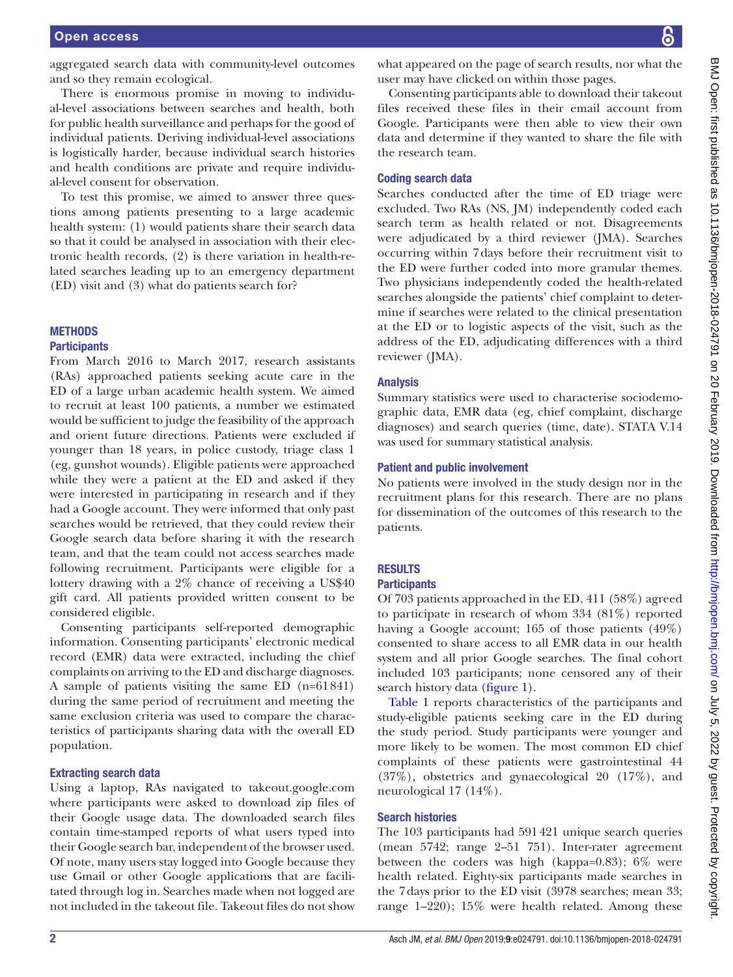aggregated search data with community-level outcomes and so they remain ecological.

There is enormous promise in moving to individual-level associations between searches and health, both for public health surveillance and perhaps for the good of individual patients. Deriving individual-level associations is logistically harder, because individual search histories and health conditions are private and require individual-level consent for observation.

To test this promise, we aimed to answer three questions among patients presenting to a large academic health system: (1) would patients share their search data so that it could be analysed in association with their electronic health records, (2) is there variation in health-related searches leading up to an emergency department (ED) visit and (3) what do patients search for?

# **METHODS**

#### **Participants**

From March 2016 to March 2017, research assistants (RAs) approached patients seeking acute care in the ED of a large urban academic health system. We aimed to recruit at least 100 patients, a number we estimated would be sufficient to judge the feasibility of the approach and orient future directions. Patients were excluded if younger than 18 years, in police custody, triage class 1 (eg, gunshot wounds). Eligible patients were approached while they were a patient at the ED and asked if they were interested in participating in research and if they had a Google account. They were informed that only past searches would be retrieved, that they could review their Google search data before sharing it with the research team, and that the team could not access searches made following recruitment. Participants were eligible for a lottery drawing with a 2% chance of receiving a US\$40 gift card. All patients provided written consent to be considered eligible.

Consenting participants self-reported demographic information. Consenting participants' electronic medical record (EMR) data were extracted, including the chief complaints on arriving to the ED and discharge diagnoses. A sample of patients visiting the same ED (n=61841) during the same period of recruitment and meeting the same exclusion criteria was used to compare the characteristics of participants sharing data with the overall ED population.

## Extracting search data

Using a laptop, RAs navigated to takeout.google.com where participants were asked to download zip files of their Google usage data. The downloaded search files contain time-stamped reports of what users typed into their Google search bar, independent of the browser used. Of note, many users stay logged into Google because they use Gmail or other Google applications that are facilitated through log in. Searches made when not logged are not included in the takeout file. Takeout files do not show

what appeared on the page of search results, nor what the user may have clicked on within those pages.

Consenting participants able to download their takeout files received these files in their email account from Google. Participants were then able to view their own data and determine if they wanted to share the file with the research team.

#### Coding search data

Searches conducted after the time of ED triage were excluded. Two RAs (NS, JM) independently coded each search term as health related or not. Disagreements were adjudicated by a third reviewer (JMA). Searches occurring within 7days before their recruitment visit to the ED were further coded into more granular themes. Two physicians independently coded the health-related searches alongside the patients' chief complaint to determine if searches were related to the clinical presentation at the ED or to logistic aspects of the visit, such as the address of the ED, adjudicating differences with a third reviewer (JMA).

## Analysis

Summary statistics were used to characterise sociodemographic data, EMR data (eg, chief complaint, discharge diagnoses) and search queries (time, date). STATA V.14 was used for summary statistical analysis.

## Patient and public involvement

No patients were involved in the study design nor in the recruitment plans for this research. There are no plans for dissemination of the outcomes of this research to the patients.

# **RESULTS**

## **Participants**

Of 703 patients approached in the ED, 411 (58%) agreed to participate in research of whom 334 (81%) reported having a Google account; 165 of those patients (49%) consented to share access to all EMR data in our health system and all prior Google searches. The final cohort included 103 participants; none censored any of their search history data [\(figure](#page-2-0) 1).

[Table](#page-3-0) 1 reports characteristics of the participants and study-eligible patients seeking care in the ED during the study period. Study participants were younger and more likely to be women. The most common ED chief complaints of these patients were gastrointestinal 44 (37%), obstetrics and gynaecological 20 (17%), and neurological 17 (14%).

## Search histories

The 103 participants had 591421 unique search queries (mean 5742; range 2–51 751). Inter-rater agreement between the coders was high (kappa=0.83); 6% were health related. Eighty-six participants made searches in the 7days prior to the ED visit (3978 searches; mean 33; range 1–220); 15% were health related. Among these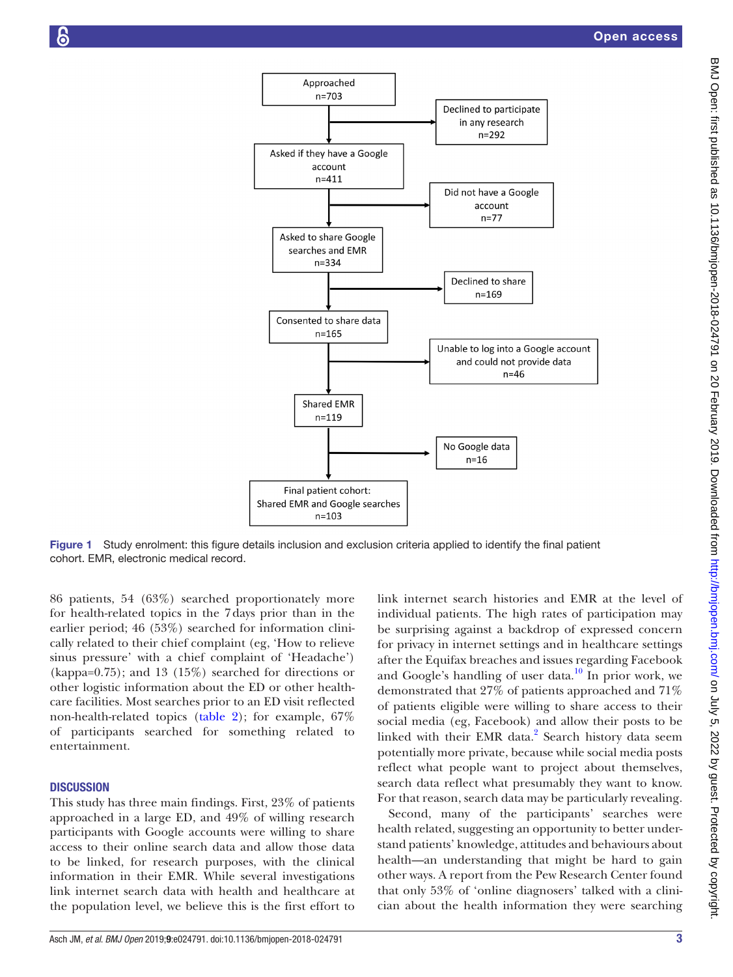

86 patients, 54 (63%) searched proportionately more for health-related topics in the 7days prior than in the earlier period; 46 (53%) searched for information clinically related to their chief complaint (eg, 'How to relieve sinus pressure' with a chief complaint of 'Headache') (kappa=0.75); and 13 (15%) searched for directions or other logistic information about the ED or other healthcare facilities. Most searches prior to an ED visit reflected non-health-related topics ([table](#page-4-5) 2); for example, 67% of participants searched for something related to entertainment.

<span id="page-2-0"></span>cohort. EMR, electronic medical record.

## **DISCUSSION**

This study has three main findings. First, 23% of patients approached in a large ED, and 49% of willing research participants with Google accounts were willing to share access to their online search data and allow those data to be linked, for research purposes, with the clinical information in their EMR. While several investigations link internet search data with health and healthcare at the population level, we believe this is the first effort to

be surprising against a backdrop of expressed concern for privacy in internet settings and in healthcare settings after the Equifax breaches and issues regarding Facebook and Google's handling of user data. $10 \text{ In prior work}$  $10 \text{ In prior work}$ , we demonstrated that 27% of patients approached and 71% of patients eligible were willing to share access to their social media (eg, Facebook) and allow their posts to be linked with their EMR data.<sup>[2](#page-4-6)</sup> Search history data seem potentially more private, because while social media posts reflect what people want to project about themselves, search data reflect what presumably they want to know. For that reason, search data may be particularly revealing. Second, many of the participants' searches were

individual patients. The high rates of participation may

health related, suggesting an opportunity to better understand patients' knowledge, attitudes and behaviours about health—an understanding that might be hard to gain other ways. A report from the Pew Research Center found that only 53% of 'online diagnosers' talked with a clinician about the health information they were searching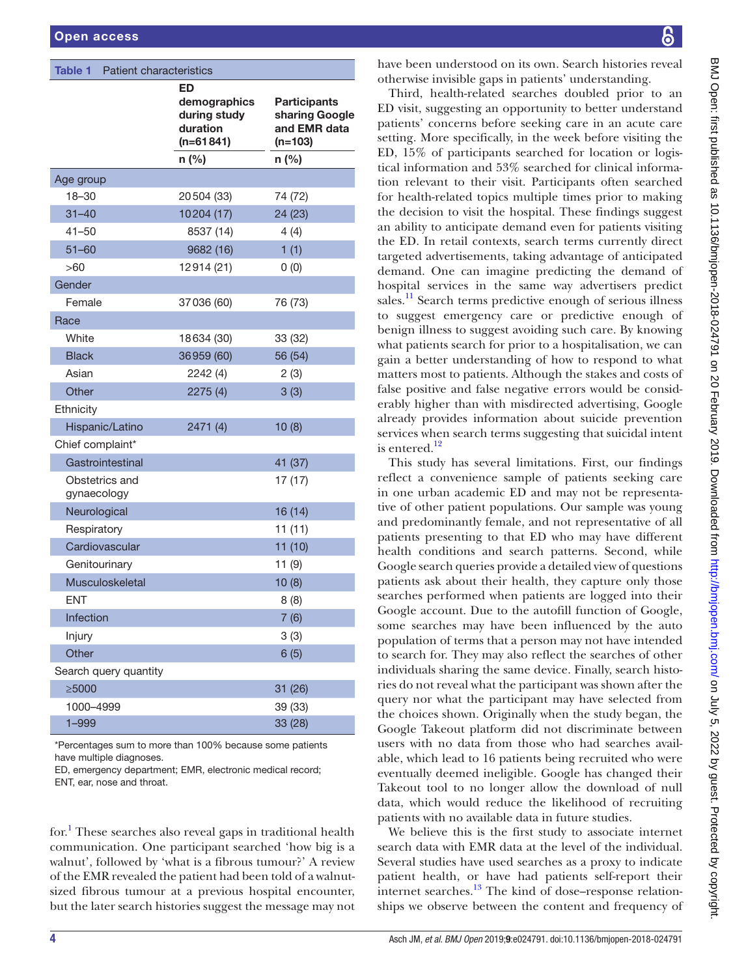<span id="page-3-0"></span>

| Table 1 Patient characteristics |                                                                        |                                                                             |  |  |
|---------------------------------|------------------------------------------------------------------------|-----------------------------------------------------------------------------|--|--|
|                                 | ED<br>demographics<br>during study<br>duration<br>$(n=61841)$<br>n (%) | <b>Participants</b><br>sharing Google<br>and EMR data<br>$(n=103)$<br>n (%) |  |  |
| Age group                       |                                                                        |                                                                             |  |  |
| $18 - 30$                       | 20504 (33)                                                             | 74 (72)                                                                     |  |  |
| $31 - 40$                       | 10204 (17)                                                             | 24 (23)                                                                     |  |  |
| $41 - 50$                       | 8537 (14)                                                              | 4(4)                                                                        |  |  |
| $51 - 60$                       | 9682 (16)                                                              | 1(1)                                                                        |  |  |
| >60                             | 12914 (21)                                                             | 0(0)                                                                        |  |  |
| Gender                          |                                                                        |                                                                             |  |  |
| Female                          | 37036 (60)                                                             | 76 (73)                                                                     |  |  |
| Race                            |                                                                        |                                                                             |  |  |
| White                           | 18634 (30)                                                             | 33 (32)                                                                     |  |  |
| <b>Black</b>                    | 36959 (60)                                                             | 56 (54)                                                                     |  |  |
| Asian                           | 2242 (4)                                                               | 2(3)                                                                        |  |  |
| Other                           | 2275(4)                                                                | 3(3)                                                                        |  |  |
| Ethnicity                       |                                                                        |                                                                             |  |  |
| Hispanic/Latino                 | 2471 (4)                                                               | 10(8)                                                                       |  |  |
| Chief complaint*                |                                                                        |                                                                             |  |  |
| Gastrointestinal                |                                                                        | 41 (37)                                                                     |  |  |
| Obstetrics and<br>gynaecology   |                                                                        | 17 (17)                                                                     |  |  |
| Neurological                    |                                                                        | 16 (14)                                                                     |  |  |
| Respiratory                     |                                                                        | 11 (11)                                                                     |  |  |
| Cardiovascular                  |                                                                        | 11 (10)                                                                     |  |  |
| Genitourinary                   |                                                                        | 11 (9)                                                                      |  |  |
| Musculoskeletal                 |                                                                        | 10(8)                                                                       |  |  |
| <b>ENT</b>                      |                                                                        | 8(8)                                                                        |  |  |
| Infection                       |                                                                        | 7(6)                                                                        |  |  |
| Injury                          |                                                                        | 3(3)                                                                        |  |  |
| Other                           |                                                                        | 6(5)                                                                        |  |  |
| Search query quantity           |                                                                        |                                                                             |  |  |
| $≥5000$                         |                                                                        | 31 (26)                                                                     |  |  |
| 1000-4999                       |                                                                        | 39 (33)                                                                     |  |  |
| $1 - 999$                       |                                                                        | 33 (28)                                                                     |  |  |

\*Percentages sum to more than 100% because some patients have multiple diagnoses.

ED, emergency department; EMR, electronic medical record; ENT, ear, nose and throat.

for.<sup>1</sup> These searches also reveal gaps in traditional health communication. One participant searched 'how big is a walnut', followed by 'what is a fibrous tumour?' A review of the EMR revealed the patient had been told of a walnutsized fibrous tumour at a previous hospital encounter, but the later search histories suggest the message may not

have been understood on its own. Search histories reveal otherwise invisible gaps in patients' understanding.

Third, health-related searches doubled prior to an ED visit, suggesting an opportunity to better understand patients' concerns before seeking care in an acute care setting. More specifically, in the week before visiting the ED, 15% of participants searched for location or logistical information and 53% searched for clinical information relevant to their visit. Participants often searched for health-related topics multiple times prior to making the decision to visit the hospital. These findings suggest an ability to anticipate demand even for patients visiting the ED. In retail contexts, search terms currently direct targeted advertisements, taking advantage of anticipated demand. One can imagine predicting the demand of hospital services in the same way advertisers predict sales. $\frac{11}{12}$  $\frac{11}{12}$  $\frac{11}{12}$  Search terms predictive enough of serious illness to suggest emergency care or predictive enough of benign illness to suggest avoiding such care. By knowing what patients search for prior to a hospitalisation, we can gain a better understanding of how to respond to what matters most to patients. Although the stakes and costs of false positive and false negative errors would be considerably higher than with misdirected advertising, Google already provides information about suicide prevention services when search terms suggesting that suicidal intent is entered.<sup>12</sup>

This study has several limitations. First, our findings reflect a convenience sample of patients seeking care in one urban academic ED and may not be representative of other patient populations. Our sample was young and predominantly female, and not representative of all patients presenting to that ED who may have different health conditions and search patterns. Second, while Google search queries provide a detailed view of questions patients ask about their health, they capture only those searches performed when patients are logged into their Google account. Due to the autofill function of Google, some searches may have been influenced by the auto population of terms that a person may not have intended to search for. They may also reflect the searches of other individuals sharing the same device. Finally, search histories do not reveal what the participant was shown after the query nor what the participant may have selected from the choices shown. Originally when the study began, the Google Takeout platform did not discriminate between users with no data from those who had searches available, which lead to 16 patients being recruited who were eventually deemed ineligible. Google has changed their Takeout tool to no longer allow the download of null data, which would reduce the likelihood of recruiting patients with no available data in future studies.

We believe this is the first study to associate internet search data with EMR data at the level of the individual. Several studies have used searches as a proxy to indicate patient health, or have had patients self-report their internet searches. $^{13}$  The kind of dose–response relationships we observe between the content and frequency of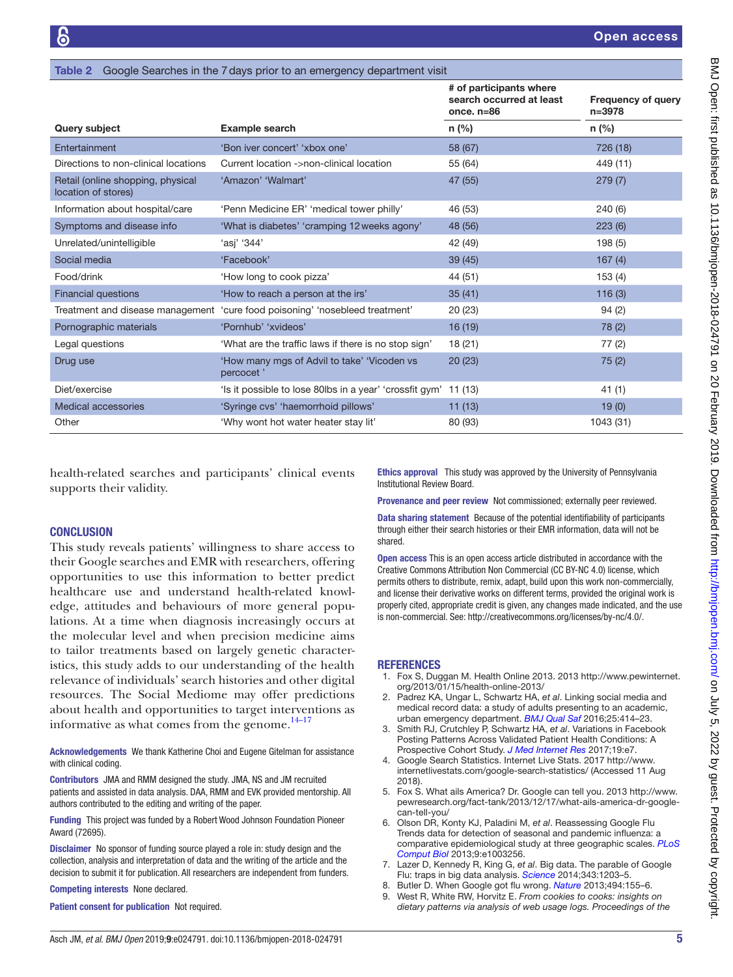<span id="page-4-5"></span>

| <b>Table 2</b> Google Searches in the 7 days prior to an emergency department visit |                                                                              |                                                                     |                                         |  |
|-------------------------------------------------------------------------------------|------------------------------------------------------------------------------|---------------------------------------------------------------------|-----------------------------------------|--|
|                                                                                     |                                                                              | # of participants where<br>search occurred at least<br>once. $n=86$ | <b>Frequency of query</b><br>$n = 3978$ |  |
| Query subject                                                                       | <b>Example search</b>                                                        | $n$ (%)                                                             | n (%)                                   |  |
| Entertainment                                                                       | 'Bon iver concert' 'xbox one'                                                | 58 (67)                                                             | 726 (18)                                |  |
| Directions to non-clinical locations                                                | Current location ->non-clinical location                                     | 55 (64)                                                             | 449 (11)                                |  |
| Retail (online shopping, physical<br>location of stores)                            | 'Amazon' 'Walmart'                                                           | 47 (55)                                                             | 279(7)                                  |  |
| Information about hospital/care                                                     | 'Penn Medicine ER' 'medical tower philly'                                    | 46 (53)                                                             | 240(6)                                  |  |
| Symptoms and disease info                                                           | 'What is diabetes' 'cramping 12 weeks agony'                                 | 48 (56)                                                             | 223(6)                                  |  |
| Unrelated/unintelligible                                                            | 'asi' '344'                                                                  | 42 (49)                                                             | 198(5)                                  |  |
| Social media                                                                        | 'Facebook'                                                                   | 39(45)                                                              | 167(4)                                  |  |
| Food/drink                                                                          | 'How long to cook pizza'                                                     | 44 (51)                                                             | 153(4)                                  |  |
| <b>Financial questions</b>                                                          | 'How to reach a person at the irs'                                           | 35(41)                                                              | 116(3)                                  |  |
|                                                                                     | Treatment and disease management 'cure food poisoning' 'nosebleed treatment' | 20 (23)                                                             | 94(2)                                   |  |
| Pornographic materials                                                              | 'Pornhub' 'xvideos'                                                          | 16(19)                                                              | 78 (2)                                  |  |
| Legal questions                                                                     | 'What are the traffic laws if there is no stop sign'                         | 18 (21)                                                             | 77(2)                                   |  |
| Drug use                                                                            | 'How many mgs of Advil to take' 'Vicoden vs<br>percocet '                    | 20(23)                                                              | 75(2)                                   |  |
| Diet/exercise                                                                       | 'Is it possible to lose 80lbs in a year' 'crossfit gym' 11 (13)              |                                                                     | 41(1)                                   |  |
| Medical accessories                                                                 | 'Syringe cvs' 'haemorrhoid pillows'                                          | 11(13)                                                              | 19(0)                                   |  |
| Other                                                                               | 'Why wont hot water heater stay lit'                                         | 80 (93)                                                             | 1043 (31)                               |  |

health-related searches and participants' clinical events supports their validity.

#### **CONCLUSION**

This study reveals patients' willingness to share access to their Google searches and EMR with researchers, offering opportunities to use this information to better predict healthcare use and understand health-related knowledge, attitudes and behaviours of more general populations. At a time when diagnosis increasingly occurs at the molecular level and when precision medicine aims to tailor treatments based on largely genetic characteristics, this study adds to our understanding of the health relevance of individuals' search histories and other digital resources. The Social Mediome may offer predictions about health and opportunities to target interventions as informative as what comes from the genome. $14-17$ 

Acknowledgements We thank Katherine Choi and Eugene Gitelman for assistance with clinical coding.

Contributors JMA and RMM designed the study. JMA, NS and JM recruited patients and assisted in data analysis. DAA, RMM and EVK provided mentorship. All authors contributed to the editing and writing of the paper.

Funding This project was funded by a Robert Wood Johnson Foundation Pioneer Award (72695).

Disclaimer No sponsor of funding source played a role in: study design and the collection, analysis and interpretation of data and the writing of the article and the decision to submit it for publication. All researchers are independent from funders.

Competing interests None declared.

Patient consent for publication Not required.

Ethics approval This study was approved by the University of Pennsylvania Institutional Review Board.

Provenance and peer review Not commissioned; externally peer reviewed.

Data sharing statement Because of the potential identifiability of participants through either their search histories or their EMR information, data will not be shared.

Open access This is an open access article distributed in accordance with the Creative Commons Attribution Non Commercial (CC BY-NC 4.0) license, which permits others to distribute, remix, adapt, build upon this work non-commercially, and license their derivative works on different terms, provided the original work is properly cited, appropriate credit is given, any changes made indicated, and the use is non-commercial. See: [http://creativecommons.org/licenses/by-nc/4.0/.](http://creativecommons.org/licenses/by-nc/4.0/)

#### **REFERENCES**

- <span id="page-4-0"></span>1. Fox S, Duggan M. Health Online 2013. 2013 [http://www.pewinternet.](http://www.pewinternet.org/2013/01/15/health-online-2013/) [org/2013/01/15/health-online-2013/](http://www.pewinternet.org/2013/01/15/health-online-2013/)
- <span id="page-4-6"></span>2. Padrez KA, Ungar L, Schwartz HA, *et al*. Linking social media and medical record data: a study of adults presenting to an academic, urban emergency department. *[BMJ Qual Saf](http://dx.doi.org/10.1136/bmjqs-2015-004489)* 2016;25:414–23.
- 3. Smith RJ, Crutchley P, Schwartz HA, *et al*. Variations in Facebook Posting Patterns Across Validated Patient Health Conditions: A Prospective Cohort Study. *[J Med Internet Res](http://dx.doi.org/10.2196/jmir.6486)* 2017;19:e7.
- <span id="page-4-1"></span>4. Google Search Statistics. Internet Live Stats. 2017 [http://www.](http://www.internetlivestats.com/google-search-statistics/) [internetlivestats.com/google-search-statistics/](http://www.internetlivestats.com/google-search-statistics/) (Accessed 11 Aug 2018)
- 5. Fox S. What ails America? Dr. Google can tell you. 2013 [http://www.](http://www.pewresearch.org/fact-tank/2013/12/17/what-ails-america-dr-google-can-tell-you/) [pewresearch.org/fact-tank/2013/12/17/what-ails-america-dr-google](http://www.pewresearch.org/fact-tank/2013/12/17/what-ails-america-dr-google-can-tell-you/)[can-tell-you/](http://www.pewresearch.org/fact-tank/2013/12/17/what-ails-america-dr-google-can-tell-you/)
- <span id="page-4-2"></span>6. Olson DR, Konty KJ, Paladini M, *et al*. Reassessing Google Flu Trends data for detection of seasonal and pandemic influenza: a comparative epidemiological study at three geographic scales. *[PLoS](http://dx.doi.org/10.1371/journal.pcbi.1003256)  [Comput Biol](http://dx.doi.org/10.1371/journal.pcbi.1003256)* 2013;9:e1003256.
- <span id="page-4-3"></span>7. Lazer D, Kennedy R, King G, *et al*. Big data. The parable of Google Flu: traps in big data analysis. *[Science](http://dx.doi.org/10.1126/science.1248506)* 2014;343:1203–5.
- 8. Butler D. When Google got flu wrong. *[Nature](http://dx.doi.org/10.1038/494155a)* 2013;494:155–6.
- <span id="page-4-4"></span>9. West R, White RW, Horvitz E. *From cookies to cooks: insights on dietary patterns via analysis of web usage logs. Proceedings of the*